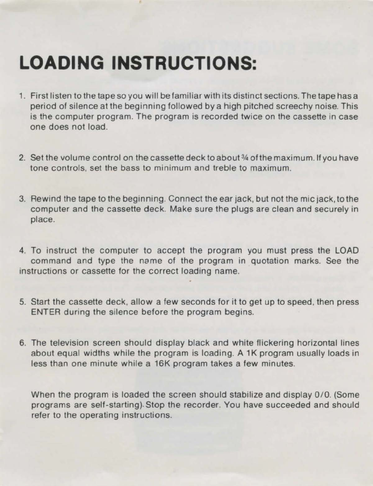## **LOADING INSTRUCTIONS:**

- 1. First listen to the tape so you will be familiar with its distinct sections. The tape has a period of silence at the beginning followed by a high pitched screechy noise. This is the computer program. The program is recorded twice on the cassette in case one does not load.
- 2. Set the volume control on the cassette deck to about 34 of the maximum. If you have tone controls. set the bass to minimum and treble to maximum.
- 3. Rewind the tape to the beginning. Connect the ear jack, but not the mic jack, to the computer and the cassette deck. Make sure the plugs are clean and securely in place.
- 4. To instruct the computer to accept the program you must press the LOAD command and type the name of the program in quotation marks. See the instructions or cassette for the correct loading name.
- 5. Start the cassette deck, allow a few seconds for it to get up to speed . then press ENTER during the silence before the program begins.
- 6. The television screen should display black and white flickering horizontal lines about equal widths while the program is loading. A 1K program usually loads in less than one minute while a 16K program takes a few minutes.

When the program is loaded the screen should stabilize and display 0/0. (Some programs are self-starting). Stop the recorder. You have succeeded and should refer to the operating instructions.